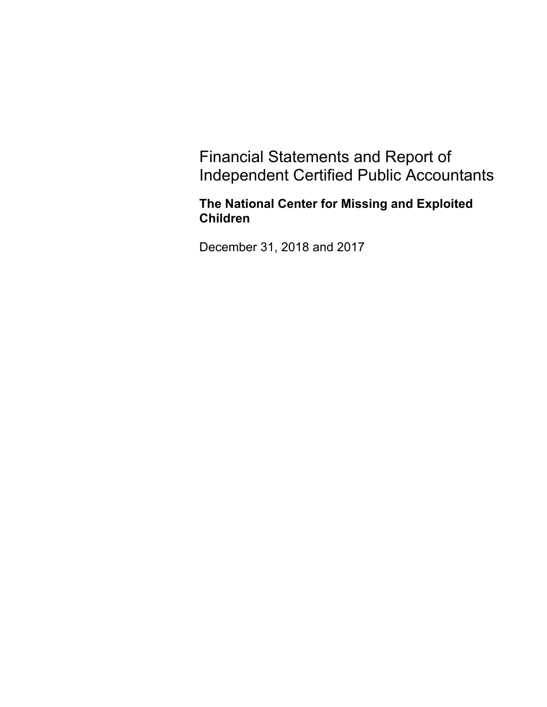Financial Statements and Report of Independent Certified Public Accountants

# **The National Center for Missing and Exploited Children**

December 31, 2018 and 2017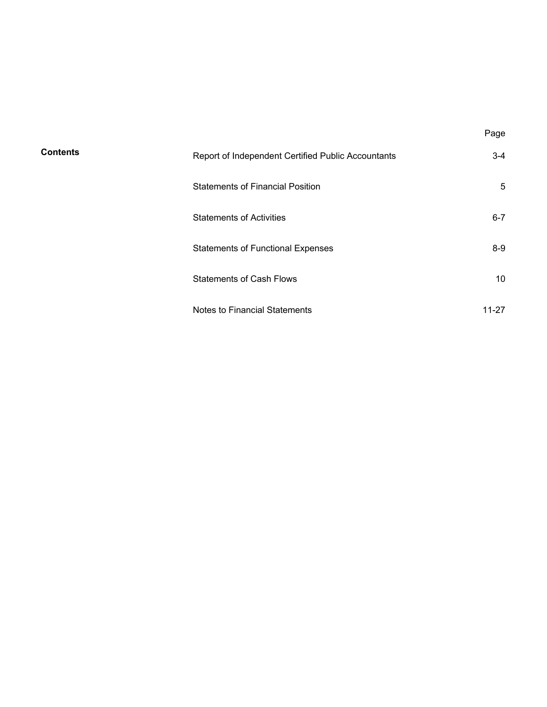| Report of Independent Certified Public Accountants | $3 - 4$ |
|----------------------------------------------------|---------|
| <b>Statements of Financial Position</b>            | 5       |
| <b>Statements of Activities</b>                    | $6 - 7$ |
| <b>Statements of Functional Expenses</b>           | $8-9$   |
| <b>Statements of Cash Flows</b>                    | 10      |
| Notes to Financial Statements                      | 11-27   |

**Contents** 

Page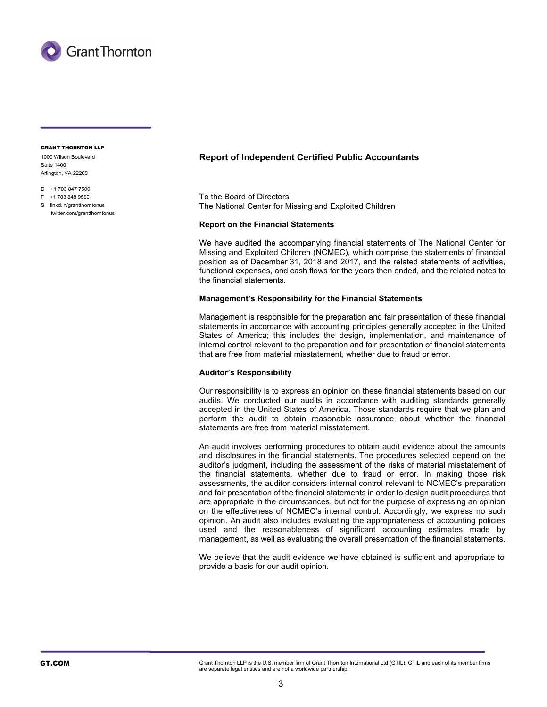

#### GRANT THORNTON LLP

1000 Wilson Boulevard Suite 1400 Arlington, VA 22209

D +1 703 847 7500

F +1 703 848 9580

S linkd.in/grantthorntonus twitter.com/grantthorntonus

#### **Report of Independent Certified Public Accountants**

To the Board of Directors The National Center for Missing and Exploited Children

#### **Report on the Financial Statements**

We have audited the accompanying financial statements of The National Center for Missing and Exploited Children (NCMEC), which comprise the statements of financial position as of December 31, 2018 and 2017, and the related statements of activities, functional expenses, and cash flows for the years then ended, and the related notes to the financial statements.

#### **Management's Responsibility for the Financial Statements**

Management is responsible for the preparation and fair presentation of these financial statements in accordance with accounting principles generally accepted in the United States of America; this includes the design, implementation, and maintenance of internal control relevant to the preparation and fair presentation of financial statements that are free from material misstatement, whether due to fraud or error.

#### **Auditor's Responsibility**

Our responsibility is to express an opinion on these financial statements based on our audits. We conducted our audits in accordance with auditing standards generally accepted in the United States of America. Those standards require that we plan and perform the audit to obtain reasonable assurance about whether the financial statements are free from material misstatement.

An audit involves performing procedures to obtain audit evidence about the amounts and disclosures in the financial statements. The procedures selected depend on the auditor's judgment, including the assessment of the risks of material misstatement of the financial statements, whether due to fraud or error. In making those risk assessments, the auditor considers internal control relevant to NCMEC's preparation and fair presentation of the financial statements in order to design audit procedures that are appropriate in the circumstances, but not for the purpose of expressing an opinion on the effectiveness of NCMEC's internal control. Accordingly, we express no such opinion. An audit also includes evaluating the appropriateness of accounting policies used and the reasonableness of significant accounting estimates made by management, as well as evaluating the overall presentation of the financial statements.

We believe that the audit evidence we have obtained is sufficient and appropriate to provide a basis for our audit opinion.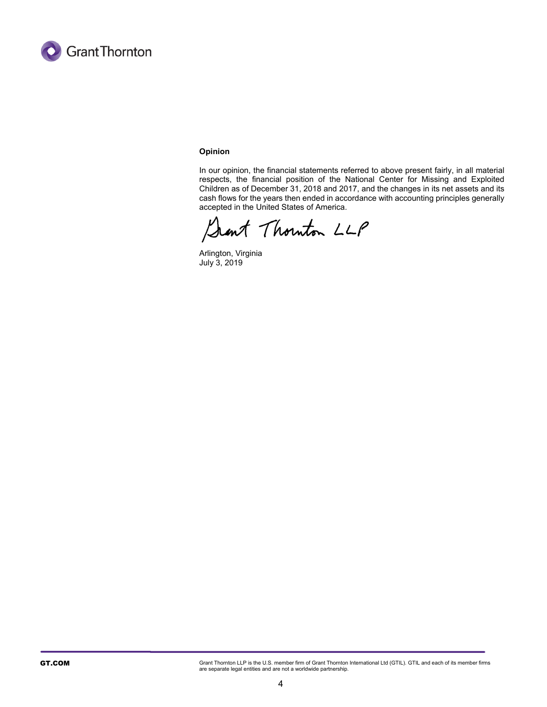

#### **Opinion**

In our opinion, the financial statements referred to above present fairly, in all material respects, the financial position of the National Center for Missing and Exploited Children as of December 31, 2018 and 2017, and the changes in its net assets and its cash flows for the years then ended in accordance with accounting principles generally accepted in the United States of America.

ant Thounton LLP

Arlington, Virginia July 3, 2019

GT.COM GRANT Thornton LLP is the U.S. member firm of Grant Thornton International Ltd (GTIL). GTIL and each of its member firms are separate legal entities and are not a worldwide partnership.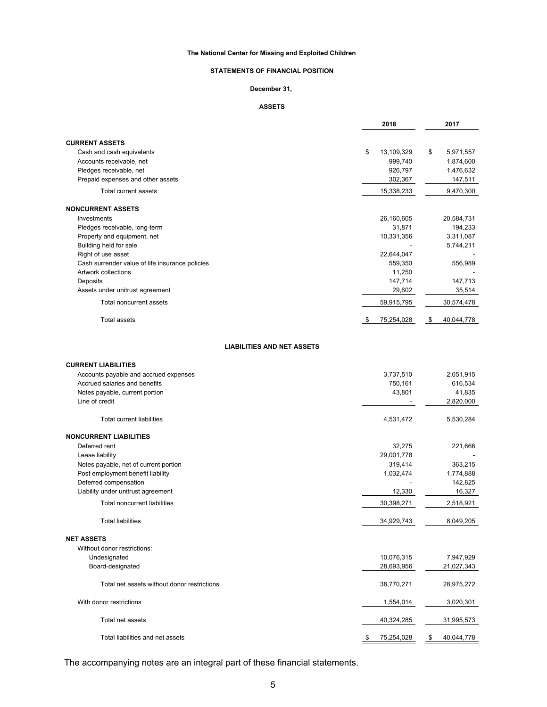#### **STATEMENTS OF FINANCIAL POSITION**

#### **December 31,**

#### **ASSETS**

|                                                  | 2018             | 2017                |
|--------------------------------------------------|------------------|---------------------|
|                                                  |                  |                     |
| <b>CURRENT ASSETS</b>                            |                  |                     |
| Cash and cash equivalents                        | \$<br>13,109,329 | \$<br>5,971,557     |
| Accounts receivable, net                         | 999,740          | 1,874,600           |
| Pledges receivable, net                          | 926,797          | 1,476,632           |
| Prepaid expenses and other assets                | 302,367          | 147,511             |
| Total current assets                             | 15,338,233       | 9,470,300           |
| <b>NONCURRENT ASSETS</b>                         |                  |                     |
| Investments                                      | 26,160,605       | 20,584,731          |
| Pledges receivable, long-term                    | 31,871           | 194,233             |
| Property and equipment, net                      | 10,331,356       | 3,311,087           |
| Building held for sale                           |                  | 5,744,211           |
| Right of use asset                               | 22,644,047       |                     |
| Cash surrender value of life insurance policies  | 559,350          | 556,989             |
| Artwork collections                              | 11,250           |                     |
| Deposits                                         | 147,714          | 147,713             |
| Assets under unitrust agreement                  | 29,602           | 35,514              |
| Total noncurrent assets                          | 59,915,795       | 30,574,478          |
| <b>Total assets</b>                              | 75,254,028       | \$<br>40,044,778    |
| <b>LIABILITIES AND NET ASSETS</b>                |                  |                     |
|                                                  |                  |                     |
| <b>CURRENT LIABILITIES</b>                       |                  |                     |
| Accounts payable and accrued expenses            | 3,737,510        | 2,051,915           |
| Accrued salaries and benefits                    | 750,161          | 616,534             |
| Notes payable, current portion<br>Line of credit | 43,801           | 41,835<br>2,820,000 |
|                                                  |                  |                     |
| Total current liabilities                        | 4,531,472        | 5,530,284           |
| <b>NONCURRENT LIABILITIES</b>                    |                  |                     |
| Deferred rent                                    | 32,275           | 221,666             |
| Lease liability                                  | 29,001,778       |                     |
| Notes payable, net of current portion            | 319,414          | 363,215             |
| Post employment benefit liability                | 1,032,474        | 1,774,888           |
| Deferred compensation                            |                  | 142,825             |
| Liability under unitrust agreement               | 12,330           | 16,327              |
| Total noncurrent liabilities                     | 30,398,271       | 2,518,921           |
| <b>Total liabilities</b>                         | 34,929,743       | 8,049,205           |
| <b>NET ASSETS</b>                                |                  |                     |
| Without donor restrictions:                      |                  |                     |
| Undesignated                                     | 10,076,315       | 7,947,929           |
| Board-designated                                 | 28,693,956       | 21,027,343          |
| Total net assets without donor restrictions      | 38,770,271       | 28,975,272          |
| With donor restrictions                          | 1,554,014        | 3,020,301           |
| Total net assets                                 | 40,324,285       | 31,995,573          |
| Total liabilities and net assets                 | \$<br>75,254,028 | 40,044,778<br>\$    |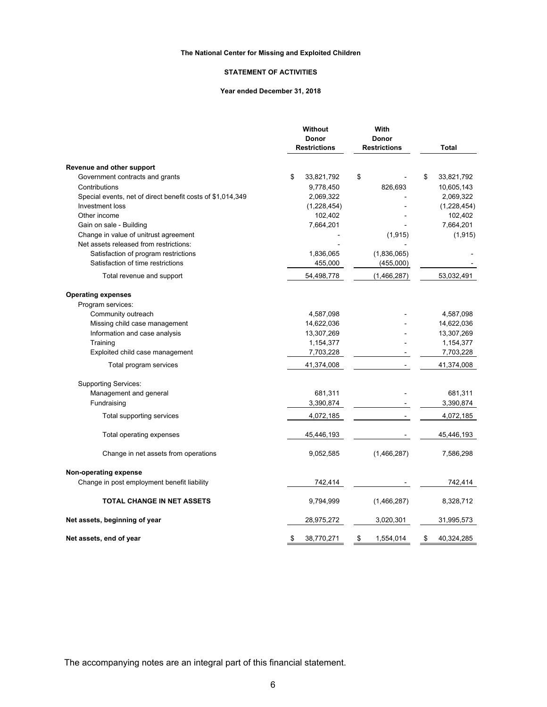#### **STATEMENT OF ACTIVITIES**

#### **Year ended December 31, 2018**

|                                                            | Without<br><b>Donor</b><br><b>Restrictions</b> | With<br>Donor<br><b>Restrictions</b> | Total            |
|------------------------------------------------------------|------------------------------------------------|--------------------------------------|------------------|
| Revenue and other support                                  |                                                |                                      |                  |
| Government contracts and grants                            | \$<br>33,821,792                               | \$                                   | \$<br>33,821,792 |
| Contributions                                              | 9,778,450                                      | 826,693                              | 10,605,143       |
| Special events, net of direct benefit costs of \$1,014,349 | 2,069,322                                      |                                      | 2,069,322        |
| Investment loss                                            | (1,228,454)                                    |                                      | (1,228,454)      |
| Other income                                               | 102,402                                        |                                      | 102,402          |
| Gain on sale - Building                                    | 7,664,201                                      |                                      | 7,664,201        |
| Change in value of unitrust agreement                      |                                                | (1, 915)                             | (1, 915)         |
| Net assets released from restrictions:                     |                                                |                                      |                  |
| Satisfaction of program restrictions                       | 1,836,065                                      | (1,836,065)                          |                  |
| Satisfaction of time restrictions                          | 455,000                                        | (455,000)                            |                  |
| Total revenue and support                                  | 54,498,778                                     | (1,466,287)                          | 53,032,491       |
| <b>Operating expenses</b>                                  |                                                |                                      |                  |
| Program services:                                          |                                                |                                      |                  |
| Community outreach                                         | 4,587,098                                      |                                      | 4,587,098        |
| Missing child case management                              | 14,622,036                                     |                                      | 14,622,036       |
| Information and case analysis                              | 13,307,269                                     |                                      | 13,307,269       |
| Training                                                   | 1,154,377                                      |                                      | 1,154,377        |
| Exploited child case management                            | 7,703,228                                      |                                      | 7,703,228        |
| Total program services                                     | 41,374,008                                     |                                      | 41,374,008       |
| <b>Supporting Services:</b>                                |                                                |                                      |                  |
| Management and general                                     | 681,311                                        |                                      | 681,311          |
| Fundraising                                                | 3,390,874                                      |                                      | 3,390,874        |
| Total supporting services                                  | 4,072,185                                      |                                      | 4,072,185        |
| Total operating expenses                                   | 45,446,193                                     |                                      | 45,446,193       |
| Change in net assets from operations                       | 9,052,585                                      | (1,466,287)                          | 7,586,298        |
| Non-operating expense                                      |                                                |                                      |                  |
| Change in post employment benefit liability                | 742,414                                        |                                      | 742,414          |
| TOTAL CHANGE IN NET ASSETS                                 | 9,794,999                                      | (1,466,287)                          | 8,328,712        |
| Net assets, beginning of year                              | 28,975,272                                     | 3,020,301                            | 31,995,573       |
| Net assets, end of year                                    | \$<br>38,770,271                               | \$<br>1,554,014                      | \$<br>40,324,285 |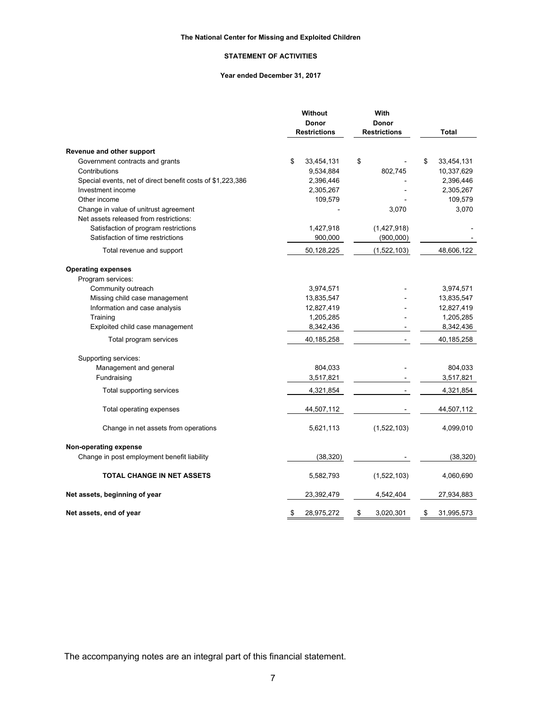#### **STATEMENT OF ACTIVITIES**

#### **Year ended December 31, 2017**

|                                                            | Without<br><b>Donor</b><br><b>Restrictions</b> | With<br><b>Donor</b><br><b>Restrictions</b> | <b>Total</b>     |
|------------------------------------------------------------|------------------------------------------------|---------------------------------------------|------------------|
| Revenue and other support                                  |                                                |                                             |                  |
| Government contracts and grants                            | \$<br>33,454,131                               | \$                                          | \$<br>33,454,131 |
| Contributions                                              | 9,534,884                                      | 802,745                                     | 10,337,629       |
| Special events, net of direct benefit costs of \$1,223,386 | 2,396,446                                      |                                             | 2,396,446        |
| Investment income                                          | 2,305,267                                      |                                             | 2,305,267        |
| Other income                                               | 109,579                                        |                                             | 109,579          |
| Change in value of unitrust agreement                      |                                                | 3,070                                       | 3,070            |
| Net assets released from restrictions:                     |                                                |                                             |                  |
| Satisfaction of program restrictions                       | 1,427,918                                      | (1,427,918)                                 |                  |
| Satisfaction of time restrictions                          | 900,000                                        | (900,000)                                   |                  |
| Total revenue and support                                  | 50,128,225                                     | (1,522,103)                                 | 48,606,122       |
| <b>Operating expenses</b>                                  |                                                |                                             |                  |
| Program services:                                          |                                                |                                             |                  |
| Community outreach                                         | 3,974,571                                      |                                             | 3,974,571        |
| Missing child case management                              | 13,835,547                                     |                                             | 13,835,547       |
| Information and case analysis                              | 12,827,419                                     |                                             | 12,827,419       |
| Training                                                   | 1,205,285                                      |                                             | 1,205,285        |
| Exploited child case management                            | 8,342,436                                      |                                             | 8,342,436        |
| Total program services                                     | 40,185,258                                     |                                             | 40,185,258       |
| Supporting services:                                       |                                                |                                             |                  |
| Management and general                                     | 804,033                                        |                                             | 804,033          |
| Fundraising                                                | 3,517,821                                      |                                             | 3,517,821        |
| Total supporting services                                  | 4,321,854                                      |                                             | 4,321,854        |
| Total operating expenses                                   | 44,507,112                                     |                                             | 44,507,112       |
| Change in net assets from operations                       | 5,621,113                                      | (1,522,103)                                 | 4,099,010        |
| Non-operating expense                                      |                                                |                                             |                  |
| Change in post employment benefit liability                | (38, 320)                                      |                                             | (38, 320)        |
| <b>TOTAL CHANGE IN NET ASSETS</b>                          | 5,582,793                                      | (1,522,103)                                 | 4,060,690        |
| Net assets, beginning of year                              | 23,392,479                                     | 4,542,404                                   | 27,934,883       |
| Net assets, end of year                                    | 28,975,272<br>\$                               | 3,020,301<br>\$                             | \$<br>31,995,573 |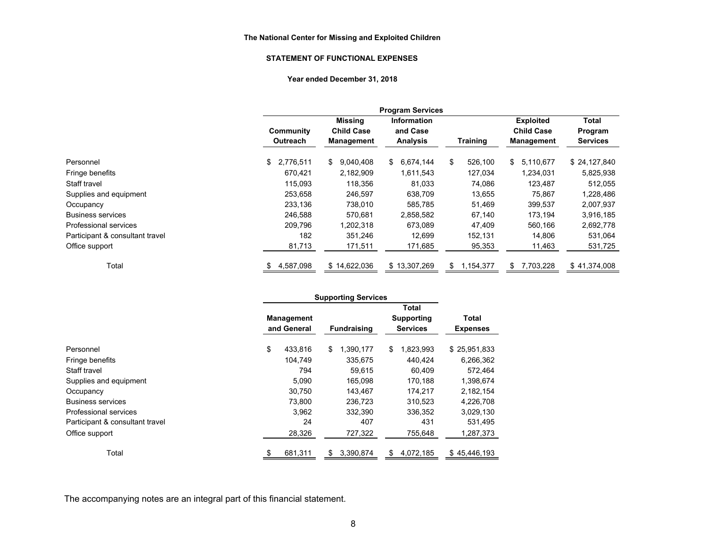#### **STATEMENT OF FUNCTIONAL EXPENSES**

**Year ended December 31, 2018**

|                                 |                              |                                                          | <b>Program Services</b>                           |                 |                                                            |                                     |
|---------------------------------|------------------------------|----------------------------------------------------------|---------------------------------------------------|-----------------|------------------------------------------------------------|-------------------------------------|
|                                 | Community<br><b>Outreach</b> | <b>Missing</b><br><b>Child Case</b><br><b>Management</b> | <b>Information</b><br>and Case<br><b>Analysis</b> | <b>Training</b> | <b>Exploited</b><br><b>Child Case</b><br><b>Management</b> | Total<br>Program<br><b>Services</b> |
| Personnel                       | 2.776.511<br>\$              | \$<br>9.040.408                                          | 6,674,144<br>\$                                   | 526,100<br>\$   | 5,110,677<br>\$                                            | \$24,127,840                        |
| Fringe benefits                 | 670,421                      | 2,182,909                                                | 1,611,543                                         | 127,034         | 1,234,031                                                  | 5,825,938                           |
| Staff travel                    | 115.093                      | 118,356                                                  | 81,033                                            | 74.086          | 123.487                                                    | 512,055                             |
| Supplies and equipment          | 253,658                      | 246,597                                                  | 638,709                                           | 13,655          | 75,867                                                     | 1,228,486                           |
| Occupancy                       | 233,136                      | 738,010                                                  | 585,785                                           | 51,469          | 399,537                                                    | 2,007,937                           |
| <b>Business services</b>        | 246,588                      | 570,681                                                  | 2,858,582                                         | 67,140          | 173.194                                                    | 3,916,185                           |
| Professional services           | 209.796                      | 1,202,318                                                | 673,089                                           | 47,409          | 560,166                                                    | 2,692,778                           |
| Participant & consultant travel | 182                          | 351,246                                                  | 12,699                                            | 152,131         | 14,806                                                     | 531,064                             |
| Office support                  | 81,713                       | 171,511                                                  | 171,685                                           | 95,353          | 11,463                                                     | 531,725                             |
| Total                           | 4,587,098<br>\$              | \$14,622,036                                             | \$13,307,269                                      | 1,154,377<br>\$ | 7,703,228<br>S.                                            | \$41,374,008                        |

|                                 | <b>Supporting Services</b> |                   |    |                    |    |                 |                 |
|---------------------------------|----------------------------|-------------------|----|--------------------|----|-----------------|-----------------|
|                                 |                            |                   |    |                    |    | Total           |                 |
|                                 |                            | <b>Management</b> |    |                    |    | Supporting      | Total           |
|                                 |                            | and General       |    | <b>Fundraising</b> |    | <b>Services</b> | <b>Expenses</b> |
| Personnel                       | \$                         | 433.816           | \$ | 1,390,177          | \$ | 1,823,993       | \$25,951,833    |
| Fringe benefits                 |                            | 104,749           |    | 335,675            |    | 440.424         | 6,266,362       |
| Staff travel                    |                            | 794               |    | 59.615             |    | 60.409          | 572,464         |
| Supplies and equipment          |                            | 5.090             |    | 165,098            |    | 170.188         | 1.398.674       |
| Occupancy                       |                            | 30,750            |    | 143.467            |    | 174,217         | 2,182,154       |
| <b>Business services</b>        |                            | 73.800            |    | 236.723            |    | 310,523         | 4,226,708       |
| Professional services           |                            | 3.962             |    | 332,390            |    | 336.352         | 3,029,130       |
| Participant & consultant travel |                            | 24                |    | 407                |    | 431             | 531,495         |
| Office support                  |                            | 28,326            |    | 727,322            |    | 755,648         | 1,287,373       |
| Total                           |                            | 681,311           | S  | 3,390,874          | S  | 4,072,185       | \$45,446,193    |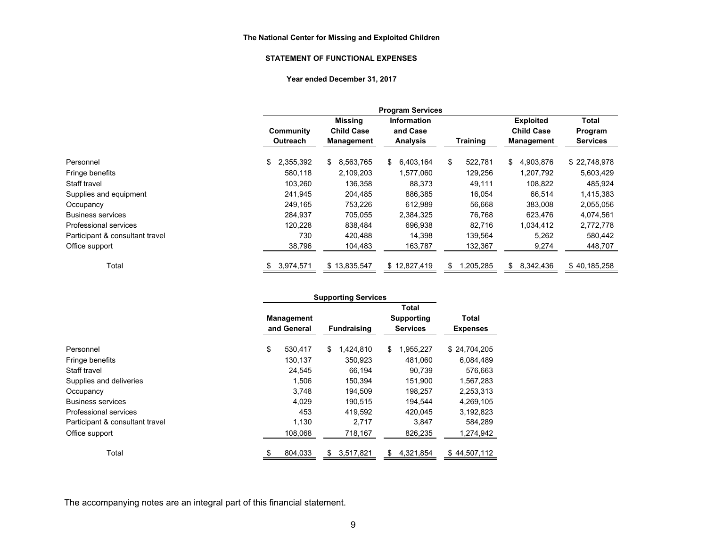#### **STATEMENT OF FUNCTIONAL EXPENSES**

**Year ended December 31, 2017**

|                                 |                              | <b>Program Services</b>                           |                                                   |                 |                                                            |                                            |  |
|---------------------------------|------------------------------|---------------------------------------------------|---------------------------------------------------|-----------------|------------------------------------------------------------|--------------------------------------------|--|
|                                 | Community<br><b>Outreach</b> | Missina<br><b>Child Case</b><br><b>Management</b> | <b>Information</b><br>and Case<br><b>Analysis</b> | <b>Training</b> | <b>Exploited</b><br><b>Child Case</b><br><b>Management</b> | <b>Total</b><br>Program<br><b>Services</b> |  |
| Personnel                       | 2,355,392<br>\$              | 8,563,765<br>\$                                   | 6,403,164<br>\$                                   | \$<br>522,781   | 4.903.876<br>\$                                            | \$22,748,978                               |  |
| Fringe benefits                 | 580,118                      | 2,109,203                                         | 1,577,060                                         | 129,256         | 1,207,792                                                  | 5,603,429                                  |  |
| Staff travel                    | 103,260                      | 136,358                                           | 88,373                                            | 49,111          | 108.822                                                    | 485.924                                    |  |
| Supplies and equipment          | 241,945                      | 204,485                                           | 886,385                                           | 16,054          | 66,514                                                     | 1,415,383                                  |  |
| Occupancy                       | 249,165                      | 753,226                                           | 612.989                                           | 56,668          | 383,008                                                    | 2,055,056                                  |  |
| <b>Business services</b>        | 284,937                      | 705,055                                           | 2,384,325                                         | 76,768          | 623.476                                                    | 4,074,561                                  |  |
| Professional services           | 120,228                      | 838,484                                           | 696,938                                           | 82,716          | 1,034,412                                                  | 2,772,778                                  |  |
| Participant & consultant travel | 730                          | 420,488                                           | 14.398                                            | 139,564         | 5,262                                                      | 580,442                                    |  |
| Office support                  | 38,796                       | 104,483                                           | 163,787                                           | 132,367         | 9,274                                                      | 448,707                                    |  |
| Total                           | 3,974,571                    | \$13,835,547                                      | \$12,827,419                                      | ,205,285        | 8,342,436<br>\$                                            | \$40,185,258                               |  |

|                                 | <b>Supporting Services</b> |                   |    |                    |                   |                 |
|---------------------------------|----------------------------|-------------------|----|--------------------|-------------------|-----------------|
|                                 |                            |                   |    |                    | Total             |                 |
|                                 |                            | <b>Management</b> |    |                    | <b>Supporting</b> | Total           |
|                                 |                            | and General       |    | <b>Fundraising</b> | <b>Services</b>   | <b>Expenses</b> |
| Personnel                       | \$                         | 530.417           | \$ | 1,424,810          | \$<br>1,955,227   | \$24,704,205    |
| Fringe benefits                 |                            | 130,137           |    | 350,923            | 481.060           | 6,084,489       |
| Staff travel                    |                            | 24,545            |    | 66,194             | 90,739            | 576,663         |
| Supplies and deliveries         |                            | 1.506             |    | 150,394            | 151.900           | 1,567,283       |
| Occupancy                       |                            | 3,748             |    | 194.509            | 198,257           | 2,253,313       |
| <b>Business services</b>        |                            | 4,029             |    | 190.515            | 194.544           | 4,269,105       |
| Professional services           |                            | 453               |    | 419.592            | 420.045           | 3,192,823       |
| Participant & consultant travel |                            | 1,130             |    | 2,717              | 3,847             | 584,289         |
| Office support                  |                            | 108,068           |    | 718,167            | 826,235           | 1,274,942       |
| Total                           |                            | 804,033           | \$ | 3,517,821          | \$<br>4,321,854   | \$44,507,112    |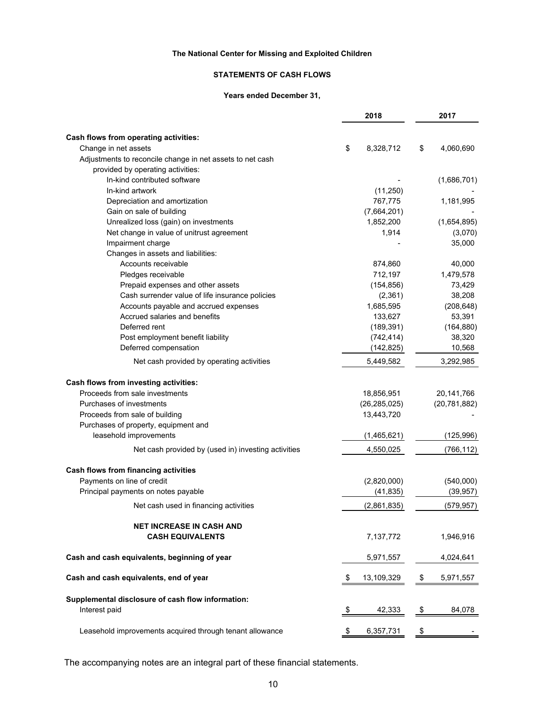#### **STATEMENTS OF CASH FLOWS**

#### **Years ended December 31,**

|                                                           | 2018             | 2017            |
|-----------------------------------------------------------|------------------|-----------------|
| Cash flows from operating activities:                     |                  |                 |
| Change in net assets                                      | \$<br>8,328,712  | \$<br>4,060,690 |
| Adjustments to reconcile change in net assets to net cash |                  |                 |
| provided by operating activities:                         |                  |                 |
| In-kind contributed software                              |                  | (1,686,701)     |
| In-kind artwork                                           | (11, 250)        |                 |
| Depreciation and amortization                             | 767,775          | 1,181,995       |
| Gain on sale of building                                  | (7,664,201)      |                 |
| Unrealized loss (gain) on investments                     | 1,852,200        | (1,654,895)     |
| Net change in value of unitrust agreement                 | 1,914            | (3,070)         |
| Impairment charge                                         |                  | 35,000          |
| Changes in assets and liabilities:                        |                  |                 |
| Accounts receivable                                       | 874,860          | 40,000          |
| Pledges receivable                                        | 712,197          | 1,479,578       |
| Prepaid expenses and other assets                         | (154, 856)       | 73,429          |
| Cash surrender value of life insurance policies           | (2,361)          | 38,208          |
| Accounts payable and accrued expenses                     | 1,685,595        | (208, 648)      |
| Accrued salaries and benefits                             | 133,627          | 53,391          |
| Deferred rent                                             | (189, 391)       | (164, 880)      |
| Post employment benefit liability                         | (742, 414)       | 38,320          |
| Deferred compensation                                     | (142, 825)       | 10,568          |
| Net cash provided by operating activities                 | 5,449,582        | 3,292,985       |
| Cash flows from investing activities:                     |                  |                 |
| Proceeds from sale investments                            | 18,856,951       | 20,141,766      |
| Purchases of investments                                  | (26, 285, 025)   | (20, 781, 882)  |
| Proceeds from sale of building                            | 13,443,720       |                 |
| Purchases of property, equipment and                      |                  |                 |
| leasehold improvements                                    | (1,465,621)      | (125, 996)      |
| Net cash provided by (used in) investing activities       | 4,550,025        | (766, 112)      |
| Cash flows from financing activities                      |                  |                 |
| Payments on line of credit                                | (2,820,000)      | (540,000)       |
| Principal payments on notes payable                       | (41, 835)        | (39, 957)       |
| Net cash used in financing activities                     | (2,861,835)      | (579, 957)      |
| <b>NET INCREASE IN CASH AND</b>                           |                  |                 |
| <b>CASH EQUIVALENTS</b>                                   | 7,137,772        | 1,946,916       |
| Cash and cash equivalents, beginning of year              | 5,971,557        | 4,024,641       |
| Cash and cash equivalents, end of year                    | \$<br>13,109,329 | \$<br>5,971,557 |
|                                                           |                  |                 |
| Supplemental disclosure of cash flow information:         |                  |                 |
| Interest paid                                             | \$<br>42,333     | \$<br>84,078    |
| Leasehold improvements acquired through tenant allowance  | \$<br>6,357,731  | \$              |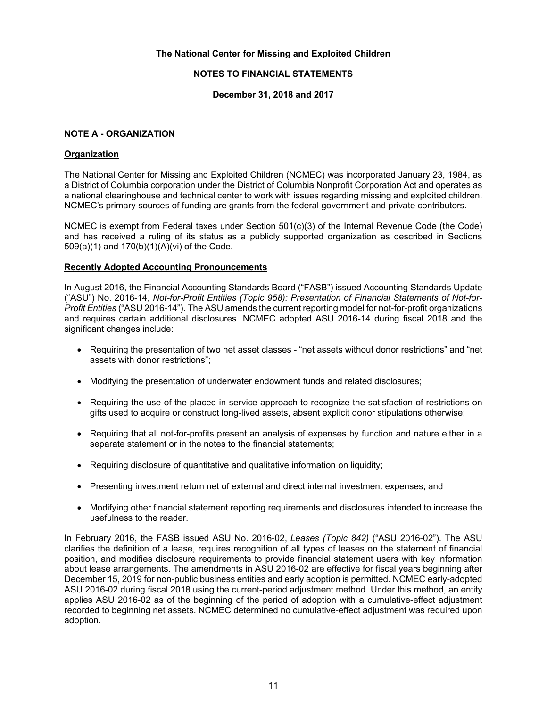### **NOTES TO FINANCIAL STATEMENTS**

#### **December 31, 2018 and 2017**

### **NOTE A - ORGANIZATION**

### **Organization**

The National Center for Missing and Exploited Children (NCMEC) was incorporated January 23, 1984, as a District of Columbia corporation under the District of Columbia Nonprofit Corporation Act and operates as a national clearinghouse and technical center to work with issues regarding missing and exploited children. NCMEC's primary sources of funding are grants from the federal government and private contributors.

NCMEC is exempt from Federal taxes under Section 501(c)(3) of the Internal Revenue Code (the Code) and has received a ruling of its status as a publicly supported organization as described in Sections 509(a)(1) and  $170(b)(1)(A)(vi)$  of the Code.

### **Recently Adopted Accounting Pronouncements**

In August 2016, the Financial Accounting Standards Board ("FASB") issued Accounting Standards Update ("ASU") No. 2016-14, *Not-for-Profit Entities (Topic 958): Presentation of Financial Statements of Not-for-Profit Entities* ("ASU 2016-14"). The ASU amends the current reporting model for not-for-profit organizations and requires certain additional disclosures. NCMEC adopted ASU 2016-14 during fiscal 2018 and the significant changes include:

- Requiring the presentation of two net asset classes "net assets without donor restrictions" and "net assets with donor restrictions";
- Modifying the presentation of underwater endowment funds and related disclosures;
- Requiring the use of the placed in service approach to recognize the satisfaction of restrictions on gifts used to acquire or construct long-lived assets, absent explicit donor stipulations otherwise;
- Requiring that all not-for-profits present an analysis of expenses by function and nature either in a separate statement or in the notes to the financial statements;
- Requiring disclosure of quantitative and qualitative information on liquidity;
- Presenting investment return net of external and direct internal investment expenses; and
- Modifying other financial statement reporting requirements and disclosures intended to increase the usefulness to the reader.

In February 2016, the FASB issued ASU No. 2016-02, *Leases (Topic 842)* ("ASU 2016-02"). The ASU clarifies the definition of a lease, requires recognition of all types of leases on the statement of financial position, and modifies disclosure requirements to provide financial statement users with key information about lease arrangements. The amendments in ASU 2016-02 are effective for fiscal years beginning after December 15, 2019 for non-public business entities and early adoption is permitted. NCMEC early-adopted ASU 2016-02 during fiscal 2018 using the current-period adjustment method. Under this method, an entity applies ASU 2016-02 as of the beginning of the period of adoption with a cumulative-effect adjustment recorded to beginning net assets. NCMEC determined no cumulative-effect adjustment was required upon adoption.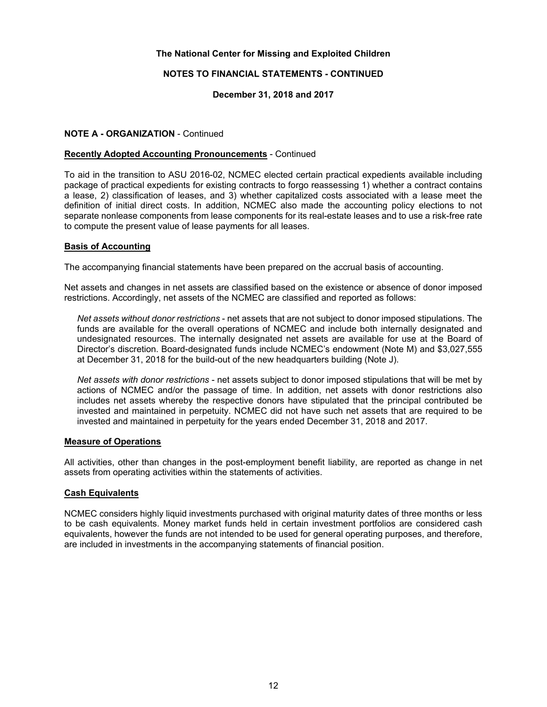### **NOTES TO FINANCIAL STATEMENTS - CONTINUED**

#### **December 31, 2018 and 2017**

### **NOTE A - ORGANIZATION** - Continued

#### **Recently Adopted Accounting Pronouncements** - Continued

To aid in the transition to ASU 2016-02, NCMEC elected certain practical expedients available including package of practical expedients for existing contracts to forgo reassessing 1) whether a contract contains a lease, 2) classification of leases, and 3) whether capitalized costs associated with a lease meet the definition of initial direct costs. In addition, NCMEC also made the accounting policy elections to not separate nonlease components from lease components for its real-estate leases and to use a risk-free rate to compute the present value of lease payments for all leases.

#### **Basis of Accounting**

The accompanying financial statements have been prepared on the accrual basis of accounting.

Net assets and changes in net assets are classified based on the existence or absence of donor imposed restrictions. Accordingly, net assets of the NCMEC are classified and reported as follows:

*Net assets without donor restrictions* - net assets that are not subject to donor imposed stipulations. The funds are available for the overall operations of NCMEC and include both internally designated and undesignated resources. The internally designated net assets are available for use at the Board of Director's discretion. Board-designated funds include NCMEC's endowment (Note M) and \$3,027,555 at December 31, 2018 for the build-out of the new headquarters building (Note J).

*Net assets with donor restrictions* - net assets subject to donor imposed stipulations that will be met by actions of NCMEC and/or the passage of time. In addition, net assets with donor restrictions also includes net assets whereby the respective donors have stipulated that the principal contributed be invested and maintained in perpetuity. NCMEC did not have such net assets that are required to be invested and maintained in perpetuity for the years ended December 31, 2018 and 2017.

### **Measure of Operations**

All activities, other than changes in the post-employment benefit liability, are reported as change in net assets from operating activities within the statements of activities.

### **Cash Equivalents**

NCMEC considers highly liquid investments purchased with original maturity dates of three months or less to be cash equivalents. Money market funds held in certain investment portfolios are considered cash equivalents, however the funds are not intended to be used for general operating purposes, and therefore, are included in investments in the accompanying statements of financial position.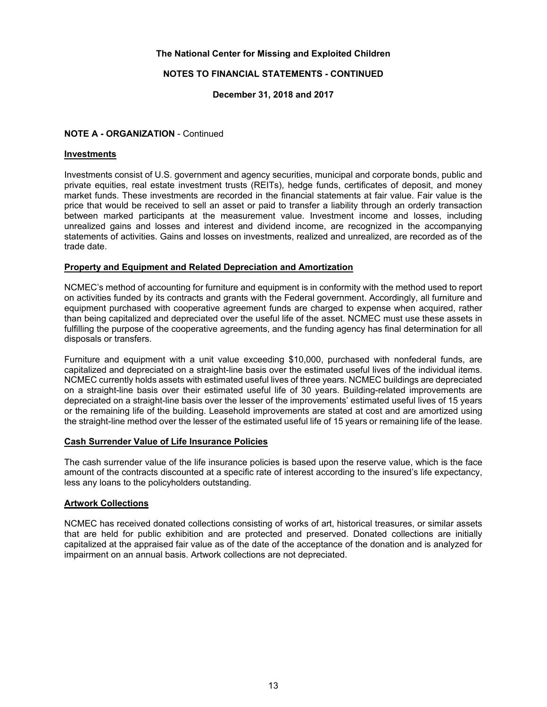### **NOTES TO FINANCIAL STATEMENTS - CONTINUED**

**December 31, 2018 and 2017** 

### **NOTE A - ORGANIZATION** - Continued

#### **Investments**

Investments consist of U.S. government and agency securities, municipal and corporate bonds, public and private equities, real estate investment trusts (REITs), hedge funds, certificates of deposit, and money market funds. These investments are recorded in the financial statements at fair value. Fair value is the price that would be received to sell an asset or paid to transfer a liability through an orderly transaction between marked participants at the measurement value. Investment income and losses, including unrealized gains and losses and interest and dividend income, are recognized in the accompanying statements of activities. Gains and losses on investments, realized and unrealized, are recorded as of the trade date.

### **Property and Equipment and Related Depreciation and Amortization**

NCMEC's method of accounting for furniture and equipment is in conformity with the method used to report on activities funded by its contracts and grants with the Federal government. Accordingly, all furniture and equipment purchased with cooperative agreement funds are charged to expense when acquired, rather than being capitalized and depreciated over the useful life of the asset. NCMEC must use these assets in fulfilling the purpose of the cooperative agreements, and the funding agency has final determination for all disposals or transfers.

Furniture and equipment with a unit value exceeding \$10,000, purchased with nonfederal funds, are capitalized and depreciated on a straight-line basis over the estimated useful lives of the individual items. NCMEC currently holds assets with estimated useful lives of three years. NCMEC buildings are depreciated on a straight-line basis over their estimated useful life of 30 years. Building-related improvements are depreciated on a straight-line basis over the lesser of the improvements' estimated useful lives of 15 years or the remaining life of the building. Leasehold improvements are stated at cost and are amortized using the straight-line method over the lesser of the estimated useful life of 15 years or remaining life of the lease.

# **Cash Surrender Value of Life Insurance Policies**

The cash surrender value of the life insurance policies is based upon the reserve value, which is the face amount of the contracts discounted at a specific rate of interest according to the insured's life expectancy, less any loans to the policyholders outstanding.

### **Artwork Collections**

NCMEC has received donated collections consisting of works of art, historical treasures, or similar assets that are held for public exhibition and are protected and preserved. Donated collections are initially capitalized at the appraised fair value as of the date of the acceptance of the donation and is analyzed for impairment on an annual basis. Artwork collections are not depreciated.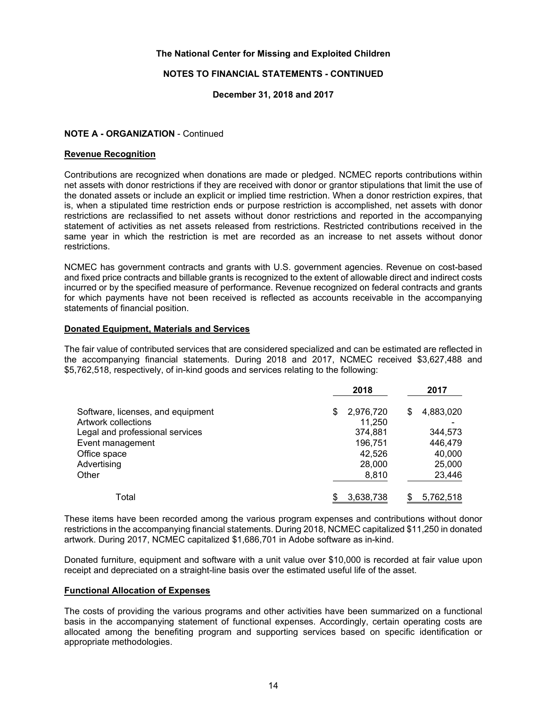### **NOTES TO FINANCIAL STATEMENTS - CONTINUED**

#### **December 31, 2018 and 2017**

### **NOTE A - ORGANIZATION** - Continued

#### **Revenue Recognition**

Contributions are recognized when donations are made or pledged. NCMEC reports contributions within net assets with donor restrictions if they are received with donor or grantor stipulations that limit the use of the donated assets or include an explicit or implied time restriction. When a donor restriction expires, that is, when a stipulated time restriction ends or purpose restriction is accomplished, net assets with donor restrictions are reclassified to net assets without donor restrictions and reported in the accompanying statement of activities as net assets released from restrictions. Restricted contributions received in the same year in which the restriction is met are recorded as an increase to net assets without donor restrictions.

NCMEC has government contracts and grants with U.S. government agencies. Revenue on cost-based and fixed price contracts and billable grants is recognized to the extent of allowable direct and indirect costs incurred or by the specified measure of performance. Revenue recognized on federal contracts and grants for which payments have not been received is reflected as accounts receivable in the accompanying statements of financial position.

### **Donated Equipment, Materials and Services**

The fair value of contributed services that are considered specialized and can be estimated are reflected in the accompanying financial statements. During 2018 and 2017, NCMEC received \$3,627,488 and \$5,762,518, respectively, of in-kind goods and services relating to the following:

|                                   | 2018           | 2017           |
|-----------------------------------|----------------|----------------|
| Software, licenses, and equipment | 2,976,720<br>S | 4,883,020<br>S |
| Artwork collections               | 11,250         |                |
| Legal and professional services   | 374,881        | 344,573        |
| Event management                  | 196,751        | 446,479        |
| Office space                      | 42,526         | 40,000         |
| Advertising                       | 28,000         | 25,000         |
| Other                             | 8,810          | 23,446         |
| Total                             | 3,638,738      | 5,762,518      |

These items have been recorded among the various program expenses and contributions without donor restrictions in the accompanying financial statements. During 2018, NCMEC capitalized \$11,250 in donated artwork. During 2017, NCMEC capitalized \$1,686,701 in Adobe software as in-kind.

Donated furniture, equipment and software with a unit value over \$10,000 is recorded at fair value upon receipt and depreciated on a straight-line basis over the estimated useful life of the asset.

#### **Functional Allocation of Expenses**

The costs of providing the various programs and other activities have been summarized on a functional basis in the accompanying statement of functional expenses. Accordingly, certain operating costs are allocated among the benefiting program and supporting services based on specific identification or appropriate methodologies.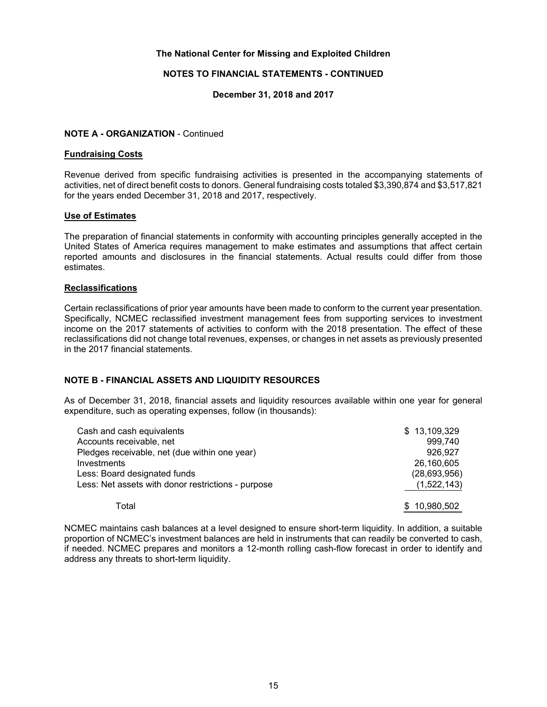### **NOTES TO FINANCIAL STATEMENTS - CONTINUED**

**December 31, 2018 and 2017** 

### **NOTE A - ORGANIZATION** - Continued

#### **Fundraising Costs**

Revenue derived from specific fundraising activities is presented in the accompanying statements of activities, net of direct benefit costs to donors. General fundraising costs totaled \$3,390,874 and \$3,517,821 for the years ended December 31, 2018 and 2017, respectively.

### **Use of Estimates**

The preparation of financial statements in conformity with accounting principles generally accepted in the United States of America requires management to make estimates and assumptions that affect certain reported amounts and disclosures in the financial statements. Actual results could differ from those estimates.

#### **Reclassifications**

Certain reclassifications of prior year amounts have been made to conform to the current year presentation. Specifically, NCMEC reclassified investment management fees from supporting services to investment income on the 2017 statements of activities to conform with the 2018 presentation. The effect of these reclassifications did not change total revenues, expenses, or changes in net assets as previously presented in the 2017 financial statements.

### **NOTE B - FINANCIAL ASSETS AND LIQUIDITY RESOURCES**

As of December 31, 2018, financial assets and liquidity resources available within one year for general expenditure, such as operating expenses, follow (in thousands):

| Cash and cash equivalents                          | \$13,109,329   |
|----------------------------------------------------|----------------|
| Accounts receivable, net                           | 999.740        |
| Pledges receivable, net (due within one year)      | 926.927        |
| Investments                                        | 26,160,605     |
| Less: Board designated funds                       | (28, 693, 956) |
| Less: Net assets with donor restrictions - purpose | (1,522,143)    |
| Total                                              | \$10,980,502   |

NCMEC maintains cash balances at a level designed to ensure short-term liquidity. In addition, a suitable proportion of NCMEC's investment balances are held in instruments that can readily be converted to cash, if needed. NCMEC prepares and monitors a 12-month rolling cash-flow forecast in order to identify and address any threats to short-term liquidity.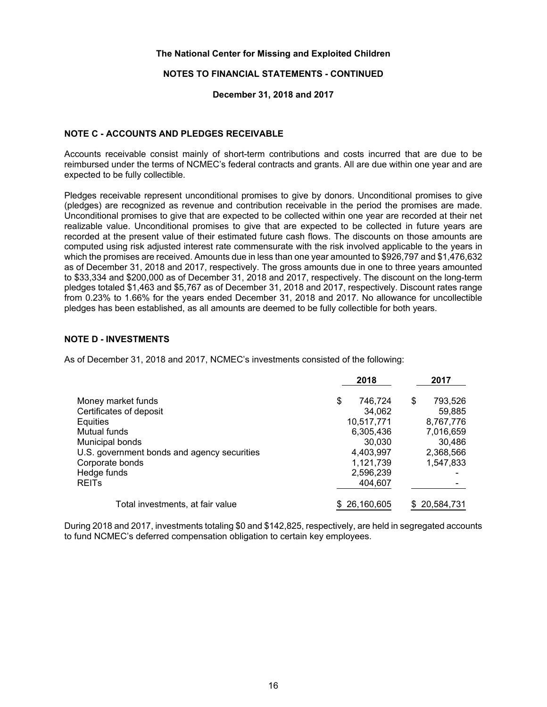### **NOTES TO FINANCIAL STATEMENTS - CONTINUED**

#### **December 31, 2018 and 2017**

### **NOTE C - ACCOUNTS AND PLEDGES RECEIVABLE**

Accounts receivable consist mainly of short-term contributions and costs incurred that are due to be reimbursed under the terms of NCMEC's federal contracts and grants. All are due within one year and are expected to be fully collectible.

Pledges receivable represent unconditional promises to give by donors. Unconditional promises to give (pledges) are recognized as revenue and contribution receivable in the period the promises are made. Unconditional promises to give that are expected to be collected within one year are recorded at their net realizable value. Unconditional promises to give that are expected to be collected in future years are recorded at the present value of their estimated future cash flows. The discounts on those amounts are computed using risk adjusted interest rate commensurate with the risk involved applicable to the years in which the promises are received. Amounts due in less than one year amounted to \$926,797 and \$1,476,632 as of December 31, 2018 and 2017, respectively. The gross amounts due in one to three years amounted to \$33,334 and \$200,000 as of December 31, 2018 and 2017, respectively. The discount on the long-term pledges totaled \$1,463 and \$5,767 as of December 31, 2018 and 2017, respectively. Discount rates range from 0.23% to 1.66% for the years ended December 31, 2018 and 2017. No allowance for uncollectible pledges has been established, as all amounts are deemed to be fully collectible for both years.

#### **NOTE D - INVESTMENTS**

As of December 31, 2018 and 2017, NCMEC's investments consisted of the following:

|                                             | 2018          | 2017          |
|---------------------------------------------|---------------|---------------|
| Money market funds                          | \$<br>746,724 | \$<br>793,526 |
| Certificates of deposit                     | 34,062        | 59,885        |
| Equities                                    | 10,517,771    | 8,767,776     |
| Mutual funds                                | 6,305,436     | 7,016,659     |
| Municipal bonds                             | 30,030        | 30,486        |
| U.S. government bonds and agency securities | 4,403,997     | 2,368,566     |
| Corporate bonds                             | 1,121,739     | 1,547,833     |
| Hedge funds                                 | 2,596,239     |               |
| REITs                                       | 404.607       |               |
| Total investments, at fair value            | \$26,160,605  | \$20,584,731  |

During 2018 and 2017, investments totaling \$0 and \$142,825, respectively, are held in segregated accounts to fund NCMEC's deferred compensation obligation to certain key employees.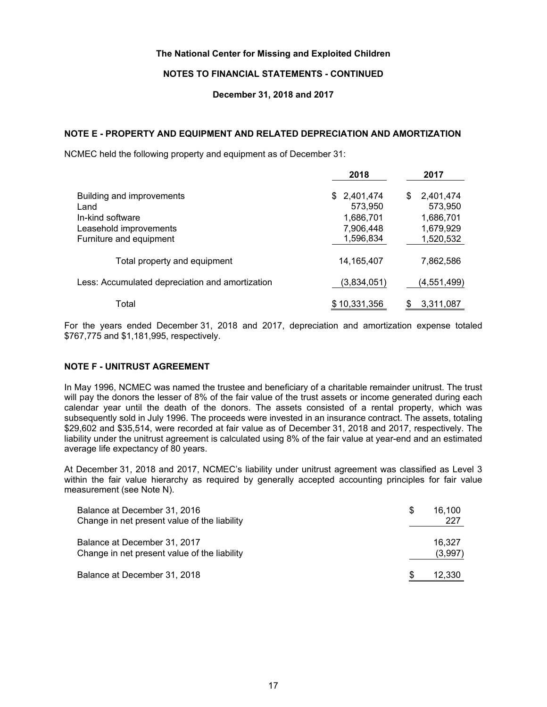### **NOTES TO FINANCIAL STATEMENTS - CONTINUED**

### **December 31, 2018 and 2017**

# **NOTE E - PROPERTY AND EQUIPMENT AND RELATED DEPRECIATION AND AMORTIZATION**

NCMEC held the following property and equipment as of December 31:

|                                                 | 2018         | 2017             |
|-------------------------------------------------|--------------|------------------|
| Building and improvements                       | \$2,401,474  | 2,401,474<br>\$. |
| Land                                            | 573,950      | 573,950          |
| In-kind software                                | 1,686,701    | 1,686,701        |
| Leasehold improvements                          | 7,906,448    | 1,679,929        |
| Furniture and equipment                         | 1,596,834    | 1,520,532        |
| Total property and equipment                    | 14, 165, 407 | 7,862,586        |
| Less: Accumulated depreciation and amortization | (3,834,051)  | (4,551,499)      |
| Total                                           | \$10,331,356 | 3,311,087<br>S   |

For the years ended December 31, 2018 and 2017, depreciation and amortization expense totaled \$767,775 and \$1,181,995, respectively.

### **NOTE F - UNITRUST AGREEMENT**

In May 1996, NCMEC was named the trustee and beneficiary of a charitable remainder unitrust. The trust will pay the donors the lesser of 8% of the fair value of the trust assets or income generated during each calendar year until the death of the donors. The assets consisted of a rental property, which was subsequently sold in July 1996. The proceeds were invested in an insurance contract. The assets, totaling \$29,602 and \$35,514, were recorded at fair value as of December 31, 2018 and 2017, respectively. The liability under the unitrust agreement is calculated using 8% of the fair value at year-end and an estimated average life expectancy of 80 years.

At December 31, 2018 and 2017, NCMEC's liability under unitrust agreement was classified as Level 3 within the fair value hierarchy as required by generally accepted accounting principles for fair value measurement (see Note N).

| Balance at December 31, 2016<br>Change in net present value of the liability | S | 16.100<br>227     |
|------------------------------------------------------------------------------|---|-------------------|
| Balance at December 31, 2017<br>Change in net present value of the liability |   | 16.327<br>(3,997) |
| Balance at December 31, 2018                                                 | S | 12,330            |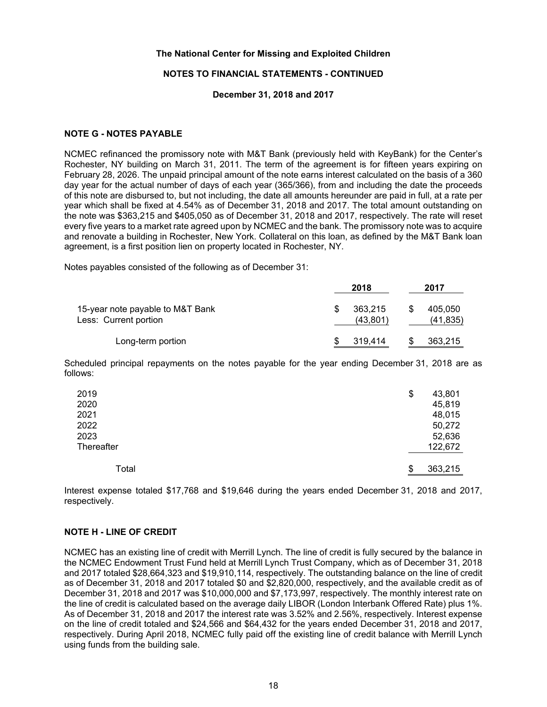### **NOTES TO FINANCIAL STATEMENTS - CONTINUED**

#### **December 31, 2018 and 2017**

### **NOTE G - NOTES PAYABLE**

NCMEC refinanced the promissory note with M&T Bank (previously held with KeyBank) for the Center's Rochester, NY building on March 31, 2011. The term of the agreement is for fifteen years expiring on February 28, 2026. The unpaid principal amount of the note earns interest calculated on the basis of a 360 day year for the actual number of days of each year (365/366), from and including the date the proceeds of this note are disbursed to, but not including, the date all amounts hereunder are paid in full, at a rate per year which shall be fixed at 4.54% as of December 31, 2018 and 2017. The total amount outstanding on the note was \$363,215 and \$405,050 as of December 31, 2018 and 2017, respectively. The rate will reset every five years to a market rate agreed upon by NCMEC and the bank. The promissory note was to acquire and renovate a building in Rochester, New York. Collateral on this loan, as defined by the M&T Bank loan agreement, is a first position lien on property located in Rochester, NY.

Notes payables consisted of the following as of December 31:

|                                                           | 2018                | 2017                 |  |
|-----------------------------------------------------------|---------------------|----------------------|--|
| 15-year note payable to M&T Bank<br>Less: Current portion | 363.215<br>(43.801) | 405,050<br>(41, 835) |  |
| Long-term portion                                         | 319.414             | 363,215              |  |

Scheduled principal repayments on the notes payable for the year ending December 31, 2018 are as follows:

| 2019       | \$<br>43,801  |
|------------|---------------|
| 2020       | 45,819        |
| 2021       | 48,015        |
| 2022       | 50,272        |
| 2023       | 52,636        |
| Thereafter | 122,672       |
| Total      | \$<br>363,215 |

Interest expense totaled \$17,768 and \$19,646 during the years ended December 31, 2018 and 2017, respectively.

### **NOTE H - LINE OF CREDIT**

NCMEC has an existing line of credit with Merrill Lynch. The line of credit is fully secured by the balance in the NCMEC Endowment Trust Fund held at Merrill Lynch Trust Company, which as of December 31, 2018 and 2017 totaled \$28,664,323 and \$19,910,114, respectively. The outstanding balance on the line of credit as of December 31, 2018 and 2017 totaled \$0 and \$2,820,000, respectively, and the available credit as of December 31, 2018 and 2017 was \$10,000,000 and \$7,173,997, respectively. The monthly interest rate on the line of credit is calculated based on the average daily LIBOR (London Interbank Offered Rate) plus 1%. As of December 31, 2018 and 2017 the interest rate was 3.52% and 2.56%, respectively. Interest expense on the line of credit totaled and \$24,566 and \$64,432 for the years ended December 31, 2018 and 2017, respectively. During April 2018, NCMEC fully paid off the existing line of credit balance with Merrill Lynch using funds from the building sale.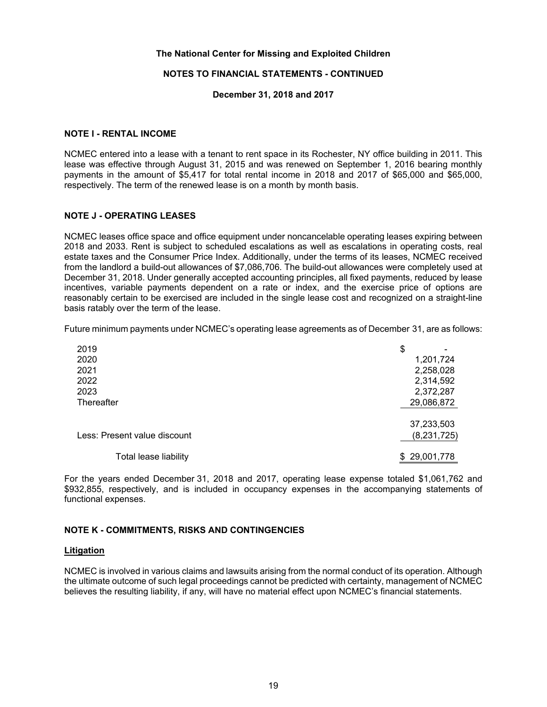### **NOTES TO FINANCIAL STATEMENTS - CONTINUED**

#### **December 31, 2018 and 2017**

#### **NOTE I - RENTAL INCOME**

NCMEC entered into a lease with a tenant to rent space in its Rochester, NY office building in 2011. This lease was effective through August 31, 2015 and was renewed on September 1, 2016 bearing monthly payments in the amount of \$5,417 for total rental income in 2018 and 2017 of \$65,000 and \$65,000, respectively. The term of the renewed lease is on a month by month basis.

### **NOTE J - OPERATING LEASES**

NCMEC leases office space and office equipment under noncancelable operating leases expiring between 2018 and 2033. Rent is subject to scheduled escalations as well as escalations in operating costs, real estate taxes and the Consumer Price Index. Additionally, under the terms of its leases, NCMEC received from the landlord a build-out allowances of \$7,086,706. The build-out allowances were completely used at December 31, 2018. Under generally accepted accounting principles, all fixed payments, reduced by lease incentives, variable payments dependent on a rate or index, and the exercise price of options are reasonably certain to be exercised are included in the single lease cost and recognized on a straight-line basis ratably over the term of the lease.

Future minimum payments under NCMEC's operating lease agreements as of December 31, are as follows:

| 2019                         | \$            |
|------------------------------|---------------|
| 2020                         | 1,201,724     |
| 2021                         | 2,258,028     |
| 2022                         | 2,314,592     |
| 2023                         | 2,372,287     |
| Thereafter                   | 29,086,872    |
|                              |               |
|                              | 37,233,503    |
| Less: Present value discount | (8, 231, 725) |
| Total lease liability        | \$29,001,778  |
|                              |               |

For the years ended December 31, 2018 and 2017, operating lease expense totaled \$1,061,762 and \$932,855, respectively, and is included in occupancy expenses in the accompanying statements of functional expenses.

# **NOTE K - COMMITMENTS, RISKS AND CONTINGENCIES**

#### **Litigation**

NCMEC is involved in various claims and lawsuits arising from the normal conduct of its operation. Although the ultimate outcome of such legal proceedings cannot be predicted with certainty, management of NCMEC believes the resulting liability, if any, will have no material effect upon NCMEC's financial statements.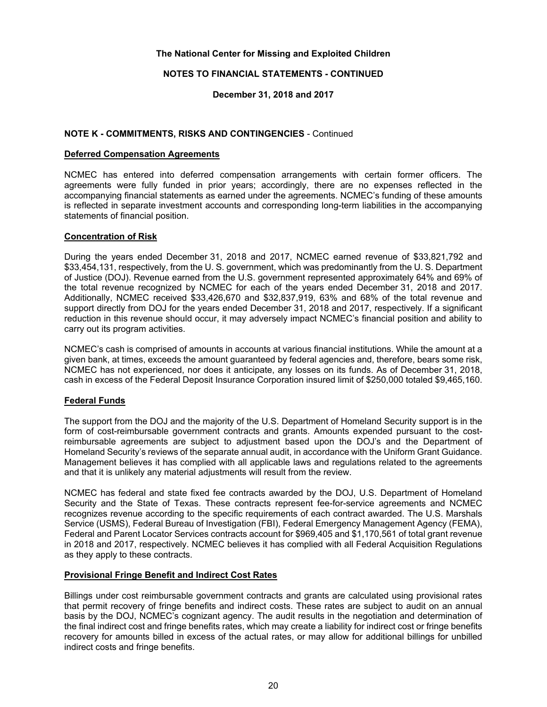### **NOTES TO FINANCIAL STATEMENTS - CONTINUED**

**December 31, 2018 and 2017** 

### **NOTE K - COMMITMENTS, RISKS AND CONTINGENCIES** - Continued

#### **Deferred Compensation Agreements**

NCMEC has entered into deferred compensation arrangements with certain former officers. The agreements were fully funded in prior years; accordingly, there are no expenses reflected in the accompanying financial statements as earned under the agreements. NCMEC's funding of these amounts is reflected in separate investment accounts and corresponding long-term liabilities in the accompanying statements of financial position.

### **Concentration of Risk**

During the years ended December 31, 2018 and 2017, NCMEC earned revenue of \$33,821,792 and \$33,454,131, respectively, from the U. S. government, which was predominantly from the U. S. Department of Justice (DOJ). Revenue earned from the U.S. government represented approximately 64% and 69% of the total revenue recognized by NCMEC for each of the years ended December 31, 2018 and 2017. Additionally, NCMEC received \$33,426,670 and \$32,837,919, 63% and 68% of the total revenue and support directly from DOJ for the years ended December 31, 2018 and 2017, respectively. If a significant reduction in this revenue should occur, it may adversely impact NCMEC's financial position and ability to carry out its program activities.

NCMEC's cash is comprised of amounts in accounts at various financial institutions. While the amount at a given bank, at times, exceeds the amount guaranteed by federal agencies and, therefore, bears some risk, NCMEC has not experienced, nor does it anticipate, any losses on its funds. As of December 31, 2018, cash in excess of the Federal Deposit Insurance Corporation insured limit of \$250,000 totaled \$9,465,160.

### **Federal Funds**

The support from the DOJ and the majority of the U.S. Department of Homeland Security support is in the form of cost-reimbursable government contracts and grants. Amounts expended pursuant to the costreimbursable agreements are subject to adjustment based upon the DOJ's and the Department of Homeland Security's reviews of the separate annual audit, in accordance with the Uniform Grant Guidance. Management believes it has complied with all applicable laws and regulations related to the agreements and that it is unlikely any material adjustments will result from the review.

NCMEC has federal and state fixed fee contracts awarded by the DOJ, U.S. Department of Homeland Security and the State of Texas. These contracts represent fee-for-service agreements and NCMEC recognizes revenue according to the specific requirements of each contract awarded. The U.S. Marshals Service (USMS), Federal Bureau of Investigation (FBI), Federal Emergency Management Agency (FEMA), Federal and Parent Locator Services contracts account for \$969,405 and \$1,170,561 of total grant revenue in 2018 and 2017, respectively. NCMEC believes it has complied with all Federal Acquisition Regulations as they apply to these contracts.

### **Provisional Fringe Benefit and Indirect Cost Rates**

Billings under cost reimbursable government contracts and grants are calculated using provisional rates that permit recovery of fringe benefits and indirect costs. These rates are subject to audit on an annual basis by the DOJ, NCMEC's cognizant agency. The audit results in the negotiation and determination of the final indirect cost and fringe benefits rates, which may create a liability for indirect cost or fringe benefits recovery for amounts billed in excess of the actual rates, or may allow for additional billings for unbilled indirect costs and fringe benefits.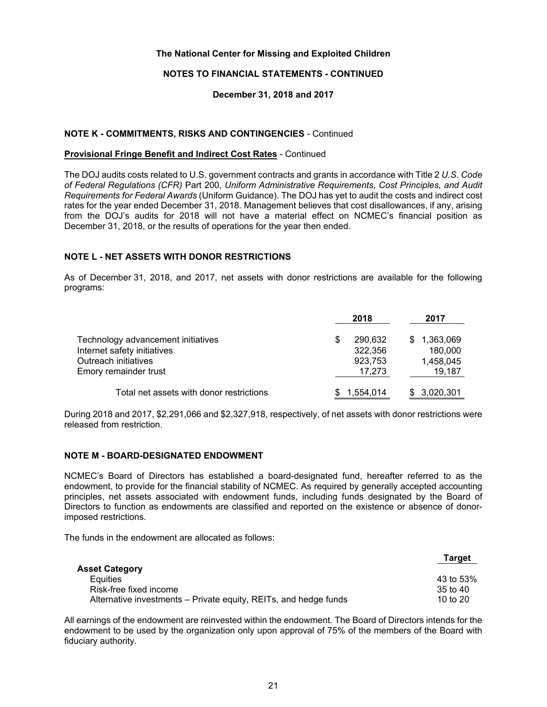### **NOTES TO FINANCIAL STATEMENTS - CONTINUED**

#### **December 31, 2018 and 2017**

#### **NOTE K - COMMITMENTS, RISKS AND CONTINGENCIES** - Continued

#### **Provisional Fringe Benefit and Indirect Cost Rates** - Continued

The DOJ audits costs related to U.S. government contracts and grants in accordance with Title 2 *U.S. Code of Federal Regulations (CFR)* Part 200, *Uniform Administrative Requirements, Cost Principles, and Audit Requirements for Federal Awards* (Uniform Guidance). The DOJ has yet to audit the costs and indirect cost rates for the year ended December 31, 2018. Management believes that cost disallowances, if any, arising from the DOJ's audits for 2018 will not have a material effect on NCMEC's financial position as December 31, 2018, or the results of operations for the year then ended.

### **NOTE L - NET ASSETS WITH DONOR RESTRICTIONS**

As of December 31, 2018, and 2017, net assets with donor restrictions are available for the following programs:

|                                          |   | 2018      | 2017        |
|------------------------------------------|---|-----------|-------------|
| Technology advancement initiatives       | S | 290,632   | \$1,363,069 |
| Internet safety initiatives              |   | 322,356   | 180,000     |
| Outreach initiatives                     |   | 923,753   | 1,458,045   |
| Emory remainder trust                    |   | 17.273    | 19,187      |
| Total net assets with donor restrictions |   | 1,554,014 | \$3,020,301 |

During 2018 and 2017, \$2,291,066 and \$2,327,918, respectively, of net assets with donor restrictions were released from restriction.

#### **NOTE M - BOARD-DESIGNATED ENDOWMENT**

NCMEC's Board of Directors has established a board-designated fund, hereafter referred to as the endowment, to provide for the financial stability of NCMEC. As required by generally accepted accounting principles, net assets associated with endowment funds, including funds designated by the Board of Directors to function as endowments are classified and reported on the existence or absence of donorimposed restrictions.

The funds in the endowment are allocated as follows:

|                                                                  | <b>Target</b> |
|------------------------------------------------------------------|---------------|
| <b>Asset Category</b>                                            |               |
| <b>Equities</b>                                                  | 43 to 53%     |
| Risk-free fixed income                                           | 35 to 40      |
| Alternative investments – Private equity, REITs, and hedge funds | 10 to $20$    |

All earnings of the endowment are reinvested within the endowment. The Board of Directors intends for the endowment to be used by the organization only upon approval of 75% of the members of the Board with fiduciary authority.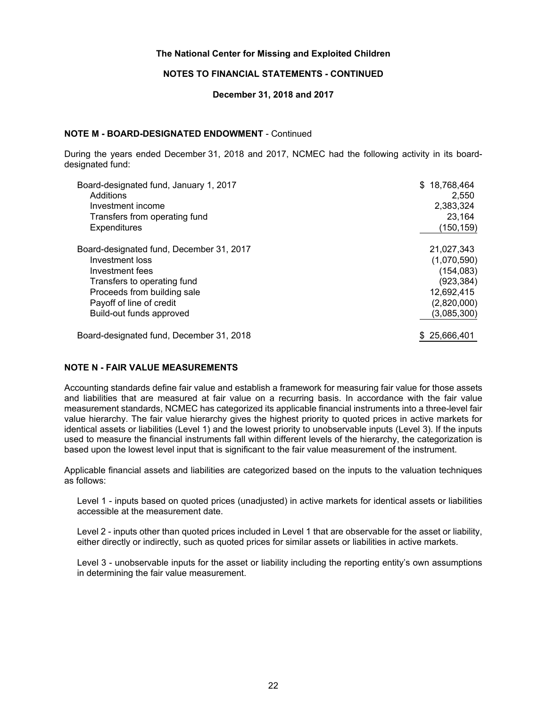### **NOTES TO FINANCIAL STATEMENTS - CONTINUED**

**December 31, 2018 and 2017** 

### **NOTE M - BOARD-DESIGNATED ENDOWMENT** - Continued

During the years ended December 31, 2018 and 2017, NCMEC had the following activity in its boarddesignated fund:

| Board-designated fund, January 1, 2017   | \$18,768,464 |
|------------------------------------------|--------------|
| Additions                                | 2,550        |
| Investment income                        | 2,383,324    |
| Transfers from operating fund            | 23,164       |
| <b>Expenditures</b>                      | (150, 159)   |
| Board-designated fund, December 31, 2017 | 21,027,343   |
| Investment loss                          | (1,070,590)  |
| Investment fees                          | (154, 083)   |
| Transfers to operating fund              | (923, 384)   |
| Proceeds from building sale              | 12,692,415   |
| Payoff of line of credit                 | (2,820,000)  |
| Build-out funds approved                 | (3,085,300)  |
| Board-designated fund, December 31, 2018 | 25,666,401   |
|                                          |              |

### **NOTE N - FAIR VALUE MEASUREMENTS**

Accounting standards define fair value and establish a framework for measuring fair value for those assets and liabilities that are measured at fair value on a recurring basis. In accordance with the fair value measurement standards, NCMEC has categorized its applicable financial instruments into a three-level fair value hierarchy. The fair value hierarchy gives the highest priority to quoted prices in active markets for identical assets or liabilities (Level 1) and the lowest priority to unobservable inputs (Level 3). If the inputs used to measure the financial instruments fall within different levels of the hierarchy, the categorization is based upon the lowest level input that is significant to the fair value measurement of the instrument.

Applicable financial assets and liabilities are categorized based on the inputs to the valuation techniques as follows:

Level 1 - inputs based on quoted prices (unadjusted) in active markets for identical assets or liabilities accessible at the measurement date.

Level 2 - inputs other than quoted prices included in Level 1 that are observable for the asset or liability, either directly or indirectly, such as quoted prices for similar assets or liabilities in active markets.

Level 3 - unobservable inputs for the asset or liability including the reporting entity's own assumptions in determining the fair value measurement.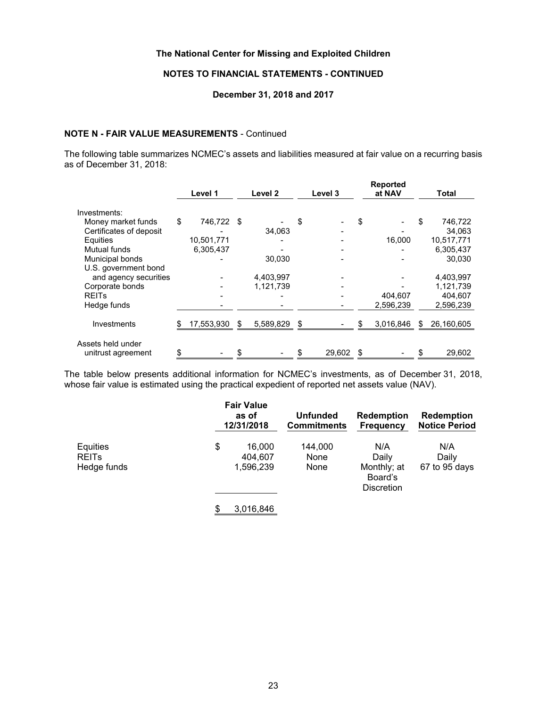# **NOTES TO FINANCIAL STATEMENTS - CONTINUED**

### **December 31, 2018 and 2017**

# **NOTE N - FAIR VALUE MEASUREMENTS** - Continued

The following table summarizes NCMEC's assets and liabilities measured at fair value on a recurring basis as of December 31, 2018:

|                                         |    | Level 1    |     | Level 2      | Level 3 | <b>Reported</b><br>at NAV | Total            |
|-----------------------------------------|----|------------|-----|--------------|---------|---------------------------|------------------|
| Investments:                            |    |            |     |              |         |                           |                  |
| Money market funds                      | \$ | 746,722    | -\$ |              | \$      | \$                        | \$<br>746,722    |
| Certificates of deposit                 |    |            |     | 34,063       |         |                           | 34,063           |
| Equities                                |    | 10,501,771 |     |              |         | 16,000                    | 10,517,771       |
| Mutual funds                            |    | 6,305,437  |     |              |         |                           | 6,305,437        |
| Municipal bonds                         |    |            |     | 30,030       |         |                           | 30,030           |
| U.S. government bond                    |    |            |     |              |         |                           |                  |
| and agency securities                   |    |            |     | 4,403,997    |         |                           | 4,403,997        |
| Corporate bonds                         |    |            |     | 1,121,739    |         |                           | 1,121,739        |
| <b>REITS</b>                            |    |            |     |              |         | 404,607                   | 404,607          |
| Hedge funds                             |    |            |     |              |         | 2,596,239                 | 2,596,239        |
| Investments                             | S  | 17,553,930 | \$  | 5,589,829 \$ |         | 3,016,846                 | \$<br>26,160,605 |
| Assets held under<br>unitrust agreement |    |            |     |              | 29,602  |                           | 29,602           |

The table below presents additional information for NCMEC's investments, as of December 31, 2018, whose fair value is estimated using the practical expedient of reported net assets value (NAV).

|                                         | <b>Fair Value</b><br>as of<br>12/31/2018 | <b>Unfunded</b><br><b>Commitments</b> | <b>Redemption</b><br><b>Frequency</b>                       | <b>Redemption</b><br><b>Notice Period</b> |  |  |
|-----------------------------------------|------------------------------------------|---------------------------------------|-------------------------------------------------------------|-------------------------------------------|--|--|
| Equities<br><b>REITS</b><br>Hedge funds | \$<br>16,000<br>404,607<br>1,596,239     | 144.000<br>None<br>None               | N/A<br>Daily<br>Monthly; at<br>Board's<br><b>Discretion</b> | N/A<br>Daily<br>67 to 95 days             |  |  |
|                                         | \$<br>3,016,846                          |                                       |                                                             |                                           |  |  |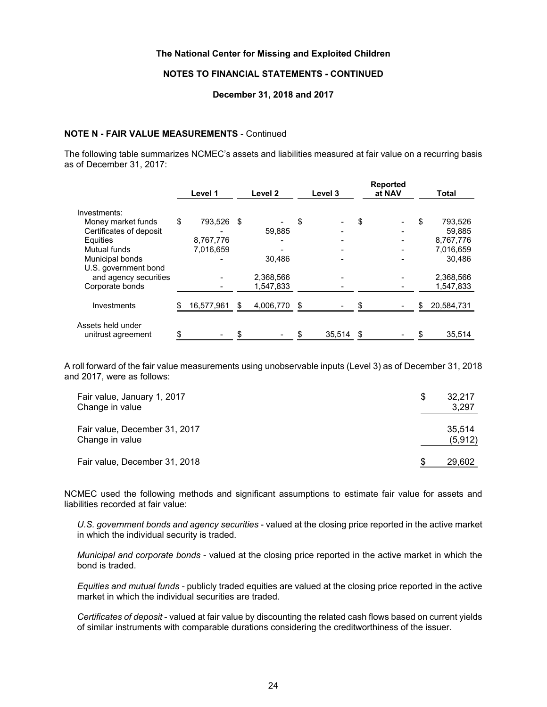### **NOTES TO FINANCIAL STATEMENTS - CONTINUED**

#### **December 31, 2018 and 2017**

#### **NOTE N - FAIR VALUE MEASUREMENTS** - Continued

The following table summarizes NCMEC's assets and liabilities measured at fair value on a recurring basis as of December 31, 2017:

|                                         |    | Level 1    | Level 2 |           | Level 3 |        | <b>Reported</b><br>at NAV |  | Total |            |
|-----------------------------------------|----|------------|---------|-----------|---------|--------|---------------------------|--|-------|------------|
| Investments:                            |    |            |         |           |         |        |                           |  |       |            |
| Money market funds                      | \$ | 793,526    | - \$    |           | \$      |        | \$                        |  | \$    | 793,526    |
| Certificates of deposit                 |    |            |         | 59,885    |         |        |                           |  |       | 59,885     |
| Equities                                |    | 8,767,776  |         |           |         |        |                           |  |       | 8,767,776  |
| Mutual funds                            |    | 7.016.659  |         |           |         |        |                           |  |       | 7,016,659  |
| Municipal bonds<br>U.S. government bond |    |            |         | 30.486    |         |        |                           |  |       | 30.486     |
| and agency securities                   |    |            |         | 2,368,566 |         |        |                           |  |       | 2,368,566  |
| Corporate bonds                         |    |            |         | 1,547,833 |         |        |                           |  |       | 1,547,833  |
| Investments                             | S  | 16,577,961 | \$      | 4,006,770 | \$      |        |                           |  | S     | 20,584,731 |
| Assets held under<br>unitrust agreement | \$ |            |         |           |         | 35,514 |                           |  |       | 35,514     |

A roll forward of the fair value measurements using unobservable inputs (Level 3) as of December 31, 2018 and 2017, were as follows:

| Fair value, January 1, 2017<br>Change in value   | -S | 32.217<br>3.297    |
|--------------------------------------------------|----|--------------------|
| Fair value, December 31, 2017<br>Change in value |    | 35.514<br>(5, 912) |
| Fair value, December 31, 2018                    |    | 29,602             |

NCMEC used the following methods and significant assumptions to estimate fair value for assets and liabilities recorded at fair value:

*U.S. government bonds and agency securities* - valued at the closing price reported in the active market in which the individual security is traded.

*Municipal and corporate bonds* - valued at the closing price reported in the active market in which the bond is traded.

*Equities and mutual funds -* publicly traded equities are valued at the closing price reported in the active market in which the individual securities are traded.

*Certificates of deposit* - valued at fair value by discounting the related cash flows based on current yields of similar instruments with comparable durations considering the creditworthiness of the issuer.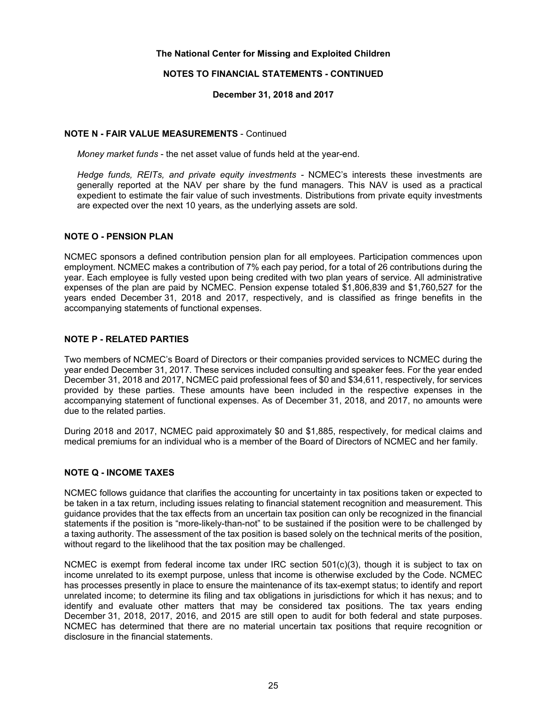### **NOTES TO FINANCIAL STATEMENTS - CONTINUED**

**December 31, 2018 and 2017** 

### **NOTE N - FAIR VALUE MEASUREMENTS** - Continued

*Money market funds* - the net asset value of funds held at the year-end.

*Hedge funds, REITs, and private equity investments -* NCMEC's interests these investments are generally reported at the NAV per share by the fund managers. This NAV is used as a practical expedient to estimate the fair value of such investments. Distributions from private equity investments are expected over the next 10 years, as the underlying assets are sold.

### **NOTE O - PENSION PLAN**

NCMEC sponsors a defined contribution pension plan for all employees. Participation commences upon employment. NCMEC makes a contribution of 7% each pay period, for a total of 26 contributions during the year. Each employee is fully vested upon being credited with two plan years of service. All administrative expenses of the plan are paid by NCMEC. Pension expense totaled \$1,806,839 and \$1,760,527 for the years ended December 31, 2018 and 2017, respectively, and is classified as fringe benefits in the accompanying statements of functional expenses.

### **NOTE P - RELATED PARTIES**

Two members of NCMEC's Board of Directors or their companies provided services to NCMEC during the year ended December 31, 2017. These services included consulting and speaker fees. For the year ended December 31, 2018 and 2017, NCMEC paid professional fees of \$0 and \$34,611, respectively, for services provided by these parties. These amounts have been included in the respective expenses in the accompanying statement of functional expenses. As of December 31, 2018, and 2017, no amounts were due to the related parties.

During 2018 and 2017, NCMEC paid approximately \$0 and \$1,885, respectively, for medical claims and medical premiums for an individual who is a member of the Board of Directors of NCMEC and her family.

# **NOTE Q - INCOME TAXES**

NCMEC follows guidance that clarifies the accounting for uncertainty in tax positions taken or expected to be taken in a tax return, including issues relating to financial statement recognition and measurement. This guidance provides that the tax effects from an uncertain tax position can only be recognized in the financial statements if the position is "more-likely-than-not" to be sustained if the position were to be challenged by a taxing authority. The assessment of the tax position is based solely on the technical merits of the position, without regard to the likelihood that the tax position may be challenged.

NCMEC is exempt from federal income tax under IRC section  $501(c)(3)$ , though it is subject to tax on income unrelated to its exempt purpose, unless that income is otherwise excluded by the Code. NCMEC has processes presently in place to ensure the maintenance of its tax-exempt status; to identify and report unrelated income; to determine its filing and tax obligations in jurisdictions for which it has nexus; and to identify and evaluate other matters that may be considered tax positions. The tax years ending December 31, 2018, 2017, 2016, and 2015 are still open to audit for both federal and state purposes. NCMEC has determined that there are no material uncertain tax positions that require recognition or disclosure in the financial statements.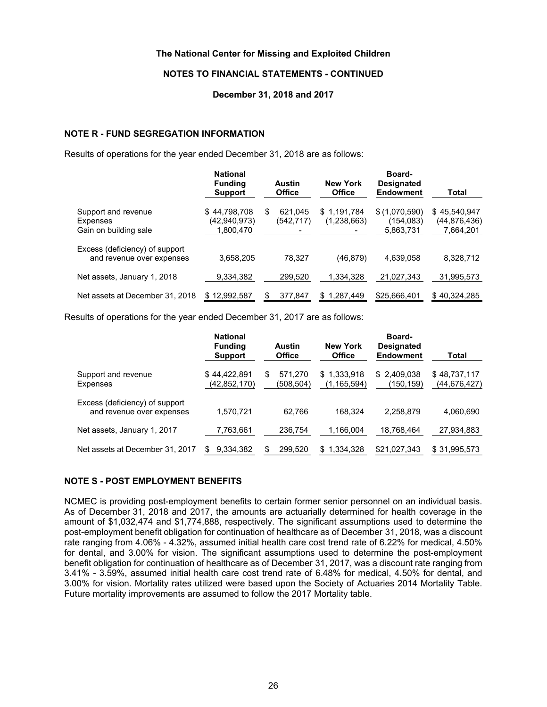### **NOTES TO FINANCIAL STATEMENTS - CONTINUED**

#### **December 31, 2018 and 2017**

### **NOTE R - FUND SEGREGATION INFORMATION**

Results of operations for the year ended December 31, 2018 are as follows:

|                                                             | <b>National</b><br><b>Funding</b><br><b>Support</b> | Austin<br><b>Office</b> |                       | <b>New York</b><br><b>Office</b> | Board-<br><b>Designated</b><br><b>Endowment</b> | Total                                     |
|-------------------------------------------------------------|-----------------------------------------------------|-------------------------|-----------------------|----------------------------------|-------------------------------------------------|-------------------------------------------|
| Support and revenue<br>Expenses<br>Gain on building sale    | \$44,798,708<br>(42,940,973)<br>1,800,470           | \$                      | 621,045<br>(542, 717) | \$1,191,784<br>(1,238,663)       | \$(1,070,590)<br>(154,083)<br>5,863,731         | \$45,540,947<br>(44,876,436)<br>7,664,201 |
| Excess (deficiency) of support<br>and revenue over expenses | 3,658,205                                           |                         | 78.327                | (46, 879)                        | 4,639,058                                       | 8,328,712                                 |
| Net assets, January 1, 2018                                 | 9,334,382                                           |                         | 299.520               | 1,334,328                        | 21,027,343                                      | 31,995,573                                |
| Net assets at December 31, 2018                             | \$12,992,587                                        |                         | 377,847               | 1,287,449<br>S                   | \$25,666,401                                    | \$40,324,285                              |

Results of operations for the year ended December 31, 2017 are as follows:

|                                                             | <b>National</b><br><b>Funding</b><br><b>Support</b> |   | Austin<br><b>Office</b> | <b>New York</b><br><b>Office</b> | Board-<br><b>Designated</b><br><b>Endowment</b> | Total                          |
|-------------------------------------------------------------|-----------------------------------------------------|---|-------------------------|----------------------------------|-------------------------------------------------|--------------------------------|
| Support and revenue<br><b>Expenses</b>                      | \$44.422.891<br>(42, 852, 170)                      | S | 571.270<br>(508,504)    | \$1,333,918<br>(1,165,594)       | \$2,409,038<br>(150,159)                        | \$48,737,117<br>(44, 676, 427) |
| Excess (deficiency) of support<br>and revenue over expenses | 1,570,721                                           |   | 62.766                  | 168.324                          | 2,258,879                                       | 4,060,690                      |
| Net assets, January 1, 2017                                 | 7.763.661                                           |   | 236.754                 | 1.166.004                        | 18.768.464                                      | 27,934,883                     |
| Net assets at December 31, 2017                             | 9,334,382<br>\$.                                    |   | 299.520                 | 1.334.328<br>S.                  | \$21.027.343                                    | \$31.995.573                   |

#### **NOTE S - POST EMPLOYMENT BENEFITS**

NCMEC is providing post-employment benefits to certain former senior personnel on an individual basis. As of December 31, 2018 and 2017, the amounts are actuarially determined for health coverage in the amount of \$1,032,474 and \$1,774,888, respectively. The significant assumptions used to determine the post-employment benefit obligation for continuation of healthcare as of December 31, 2018, was a discount rate ranging from 4.06% - 4.32%, assumed initial health care cost trend rate of 6.22% for medical, 4.50% for dental, and 3.00% for vision. The significant assumptions used to determine the post-employment benefit obligation for continuation of healthcare as of December 31, 2017, was a discount rate ranging from 3.41% - 3.59%, assumed initial health care cost trend rate of 6.48% for medical, 4.50% for dental, and 3.00% for vision. Mortality rates utilized were based upon the Society of Actuaries 2014 Mortality Table. Future mortality improvements are assumed to follow the 2017 Mortality table.